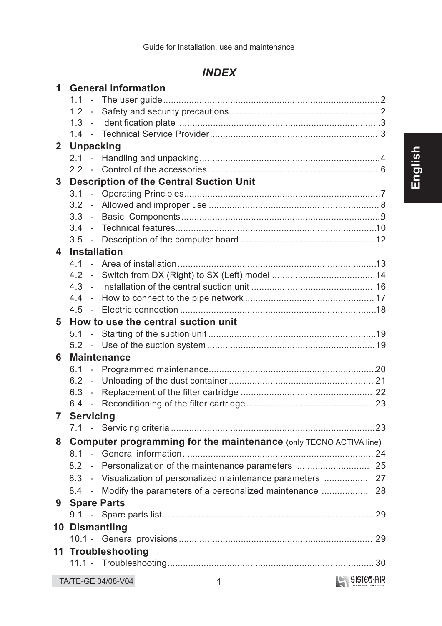# **INDEX**

| $\mathbf{1}$     | <b>General Information</b>                                               |            |
|------------------|--------------------------------------------------------------------------|------------|
|                  |                                                                          |            |
|                  |                                                                          |            |
|                  |                                                                          |            |
|                  |                                                                          |            |
| $\mathbf{2}$     | <b>Unpacking</b>                                                         |            |
|                  |                                                                          |            |
|                  |                                                                          |            |
| 3 <sup>1</sup>   | <b>Description of the Central Suction Unit</b>                           |            |
|                  |                                                                          |            |
|                  | 3.2                                                                      |            |
|                  |                                                                          |            |
|                  | 3.4                                                                      |            |
|                  |                                                                          |            |
| $\blacktriangle$ | <b>Installation</b>                                                      |            |
|                  |                                                                          |            |
|                  |                                                                          |            |
|                  |                                                                          |            |
|                  | 4.4                                                                      |            |
|                  |                                                                          |            |
| 5                | How to use the central suction unit                                      |            |
|                  |                                                                          |            |
|                  |                                                                          |            |
| 6                | <b>Maintenance</b>                                                       |            |
|                  | 6.1                                                                      |            |
|                  | 6.2                                                                      |            |
|                  |                                                                          |            |
|                  |                                                                          |            |
|                  | <b>Servicing Servicial Servicial Servicing</b>                           |            |
|                  |                                                                          |            |
| 8                | <b>Computer programming for the maintenance (only TECNO ACTIVA line)</b> |            |
|                  |                                                                          |            |
|                  | 8.2                                                                      |            |
|                  | 8.3 - Visualization of personalized maintenance parameters  27           |            |
|                  |                                                                          |            |
| 9                | <b>Spare Parts</b>                                                       |            |
|                  |                                                                          |            |
|                  |                                                                          |            |
|                  | 10 Dismantling                                                           |            |
|                  |                                                                          |            |
|                  | 11 Troubleshooting                                                       |            |
|                  |                                                                          |            |
|                  | TA/TE-GE 04/08-V04<br>1                                                  | SISTEM-AIR |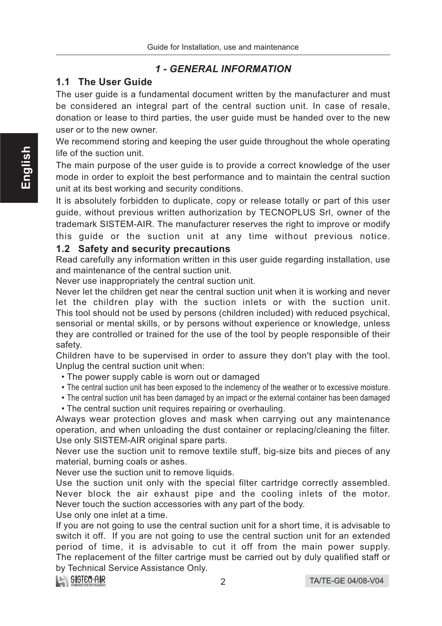# **1 - GENERAL INFORMATION**

# 1.1 The User Guide

The user guide is a fundamental document written by the manufacturer and must be considered an integral part of the central suction unit. In case of resale, donation or lease to third parties, the user guide must be handed over to the new user or to the new owner.

We recommend storing and keeping the user guide throughout the whole operating life of the suction unit.

The main purpose of the user guide is to provide a correct knowledge of the user mode in order to exploit the best performance and to maintain the central suction unit at its best working and security conditions.

It is absolutely forbidden to duplicate, copy or release totally or part of this user guide, without previous written authorization by TECNOPLUS Srl, owner of the trademark SISTEM-AIR. The manufacturer reserves the right to improve or modify this guide or the suction unit at any time without previous notice.

#### 1.2 Safety and security precautions

Read carefully any information written in this user guide regarding installation, use and maintenance of the central suction unit.

Never use inappropriately the central suction unit.

Never let the children get near the central suction unit when it is working and never let the children play with the suction inlets or with the suction unit. This tool should not be used by persons (children included) with reduced psychical, sensorial or mental skills, or by persons without experience or knowledge, unless they are controlled or trained for the use of the tool by people responsible of their safety.

Children have to be supervised in order to assure they don't play with the tool. Unplug the central suction unit when:

- The power supply cable is worn out or damaged
- The central suction unit has been exposed to the inclemency of the weather or to excessive moisture.
- The central suction unit has been damaged by an impact or the external container has been damaged
- The central suction unit requires repairing or overhauling.

Always wear protection gloves and mask when carrying out any maintenance operation, and when unloading the dust container or replacing/cleaning the filter. Use only SISTEM-AIR original spare parts.

Never use the suction unit to remove textile stuff, big-size bits and pieces of any material, burning coals or ashes.

Never use the suction unit to remove liquids.

Use the suction unit only with the special filter cartridge correctly assembled. Never block the air exhaust pipe and the cooling inlets of the motor. Never touch the suction accessories with any part of the body.

Use only one inlet at a time.

If you are not going to use the central suction unit for a short time, it is advisable to switch it off. If you are not going to use the central suction unit for an extended period of time, it is advisable to cut it off from the main power supply. The replacement of the filter cartrige must be carried out by duly qualified staff or by Technical Service Assistance Only.

# **LE SISTEO AIR**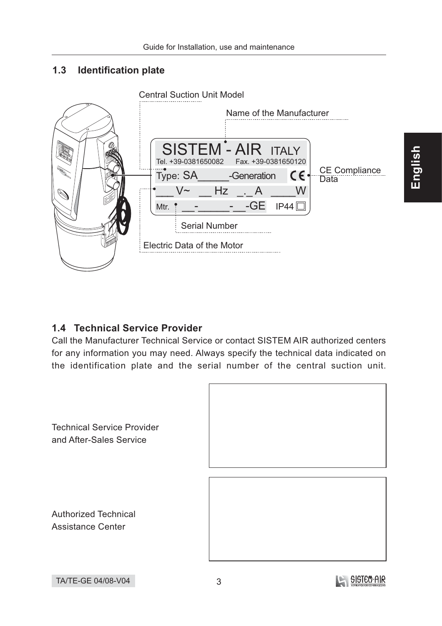#### $1.3$ **Identification plate**



# 1.4 Technical Service Provider

Call the Manufacturer Technical Service or contact SISTEM AIR authorized centers for any information you may need. Always specify the technical data indicated on the identification plate and the serial number of the central suction unit.



English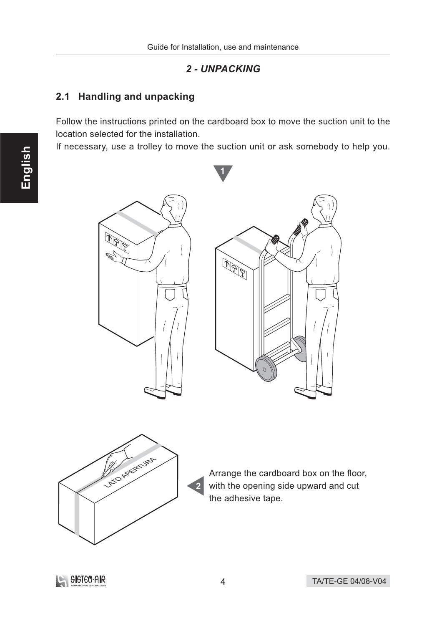## 2 - UNPACKING

# 2.1 Handling and unpacking

Follow the instructions printed on the cardboard box to move the suction unit to the location selected for the installation.

If necessary, use a trolley to move the suction unit or ask somebody to help you.







Arrange the cardboard box on the floor, with the opening side upward and cut the adhesive tape.

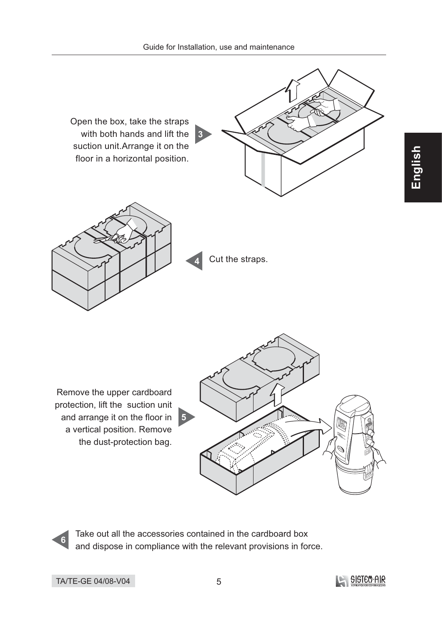

Take out all the accessories contained in the cardboard box and dispose in compliance with the relevant provisions in force.

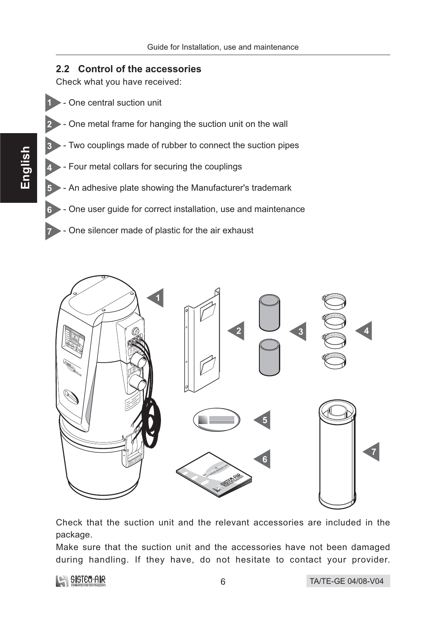## 2.2 Control of the accessories

Check what you have received:

- One central suction unit
- One metal frame for hanging the suction unit on the wall
- Two couplings made of rubber to connect the suction pipes
- Four metal collars for securing the couplings
- An adhesive plate showing the Manufacturer's trademark
- One user guide for correct installation, use and maintenance
- One silencer made of plastic for the air exhaust



Check that the suction unit and the relevant accessories are included in the package.

Make sure that the suction unit and the accessories have not been damaged during handling. If they have, do not hesitate to contact your provider.



6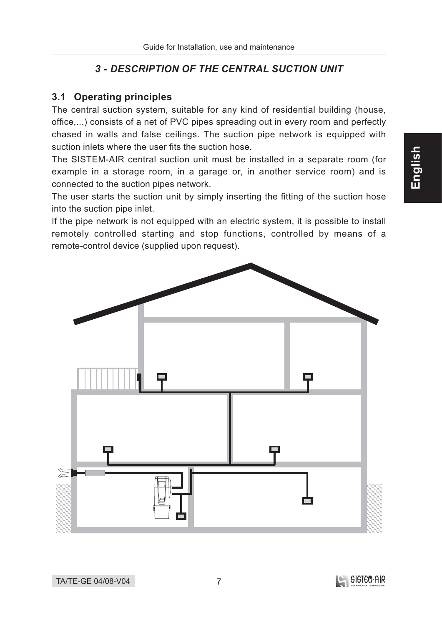# **3 - DESCRIPTION OF THE CENTRAL SUCTION UNIT**

# 3.1 Operating principles

The central suction system, suitable for any kind of residential building (house, office,...) consists of a net of PVC pipes spreading out in every room and perfectly chased in walls and false ceilings. The suction pipe network is equipped with suction inlets where the user fits the suction hose.

The SISTEM-AIR central suction unit must be installed in a separate room (for example in a storage room, in a garage or, in another service room) and is connected to the suction pipes network.

The user starts the suction unit by simply inserting the fitting of the suction hose into the suction pipe inlet.

If the pipe network is not equipped with an electric system, it is possible to install remotely controlled starting and stop functions, controlled by means of a remote-control device (supplied upon request).

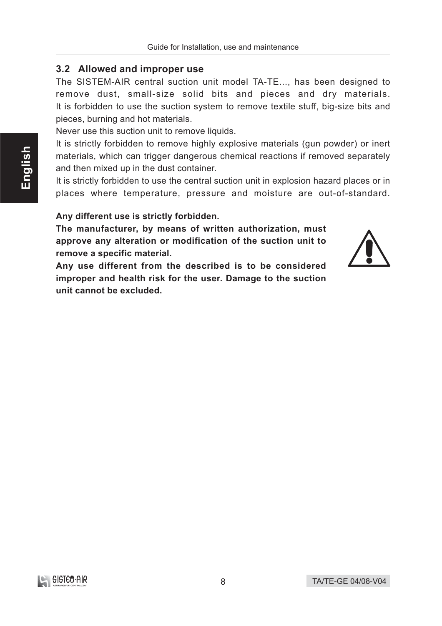#### 3.2 Allowed and improper use

The SISTEM-AIR central suction unit model TA-TE..., has been designed to remove dust, small-size solid bits and pieces and dry materials. It is forbidden to use the suction system to remove textile stuff, big-size bits and pieces, burning and hot materials.

Never use this suction unit to remove liquids.

It is strictly forbidden to remove highly explosive materials (gun powder) or inert materials, which can trigger dangerous chemical reactions if removed separately and then mixed up in the dust container.

It is strictly forbidden to use the central suction unit in explosion hazard places or in places where temperature, pressure and moisture are out-of-standard.

#### Any different use is strictly forbidden.

The manufacturer, by means of written authorization, must approve any alteration or modification of the suction unit to remove a specific material.

Any use different from the described is to be considered improper and health risk for the user. Damage to the suction unit cannot be excluded.

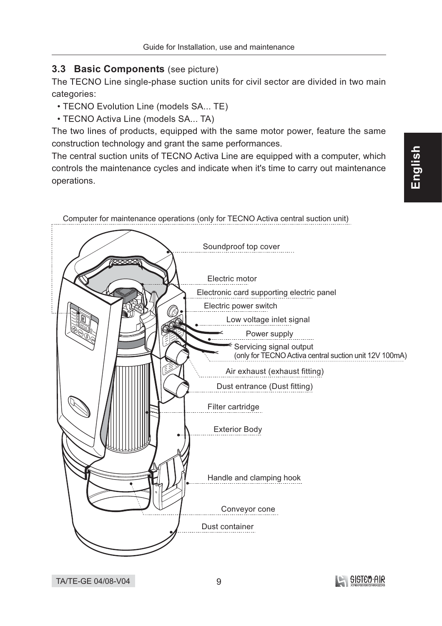## 3.3 Basic Components (see picture)

The TECNO Line single-phase suction units for civil sector are divided in two main categories:

- TECNO Evolution Line (models SA... TE)
- TECNO Activa Line (models SA... TA)

The two lines of products, equipped with the same motor power, feature the same construction technology and grant the same performances.

The central suction units of TECNO Activa Line are equipped with a computer, which controls the maintenance cycles and indicate when it's time to carry out maintenance operations.



![](_page_8_Picture_10.jpeg)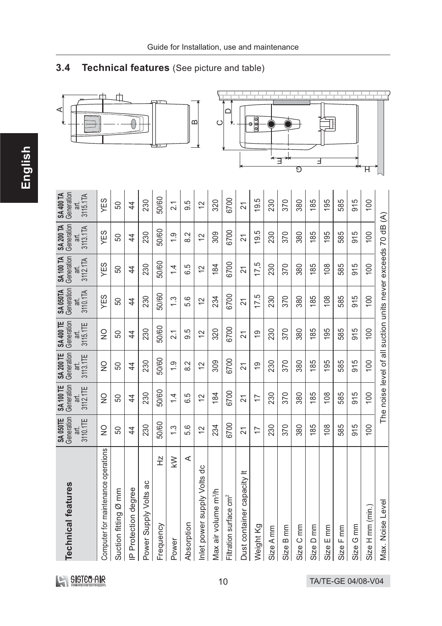#### Technical features (See picture and table)  $3.4$

![](_page_9_Figure_2.jpeg)

| <b>Technical features</b>           | Generation<br><b>SA050TE</b><br>3110.1TE<br>ăЦ | Generation<br>SA 100 TE<br>3112.1TE<br>art. | Generation<br><b>SA 200 TE</b><br>3113.1TE<br>art. | Generation<br><b>SA 400 TE</b><br>3115.1TE<br>art.           | Generation<br><b>SA 050TA</b><br>3110.1TA<br>.<br>ਛ | Generation<br><b>SA100 TA</b><br>3112.1TA<br>ari. | Generation<br><b>SA 200 TA</b><br>3113.1TA<br>āť. | Generation<br>SA 400 TA<br>3115.1TA<br>щ |
|-------------------------------------|------------------------------------------------|---------------------------------------------|----------------------------------------------------|--------------------------------------------------------------|-----------------------------------------------------|---------------------------------------------------|---------------------------------------------------|------------------------------------------|
| Computer for maintenance operations | $\frac{0}{2}$                                  | $\frac{0}{2}$                               | $\frac{0}{2}$                                      | $\frac{0}{2}$                                                | YES                                                 | YES                                               | YES                                               | YES                                      |
| Suction fitting Ø mm                | 50                                             | 50                                          | 50                                                 | 50                                                           | 50                                                  | 50                                                | 50                                                | 50                                       |
| IP Protection degree                | $\overline{4}$                                 | $\overline{4}$                              | $\overline{4}$                                     | $\overline{4}$                                               | 4                                                   | $\overline{4}$                                    | $\overline{4}$                                    | $\overline{4}$                           |
| Power Supply Volts ac               | 230                                            | 230                                         | 230                                                | 230                                                          | 230                                                 | 230                                               | 230                                               | 230                                      |
| 소<br>Frequency                      | 50/60                                          | 50/60                                       | 50/60                                              | 50/60                                                        | 50/60                                               | 50/60                                             | 50/60                                             | 50/60                                    |
| $\geqslant$<br>Power                | $\ddot{.}$                                     | $\frac{1}{4}$                               | $\frac{0}{1}$                                      | $\overline{21}$                                              | $\ddot{.}$                                          | $\overline{4}$                                    | $\frac{0}{1}$                                     | $\overline{21}$                          |
| $\prec$<br>Absorption               | 5.6                                            | 6.5                                         | 8.2                                                | 9.5                                                          | 5.6                                                 | 6.5                                               | 8.2                                               | 9.5                                      |
| Inlet power supply Volts dc         | $\overline{C}$                                 | $\overline{2}$                              | $\overline{C}$                                     | $\tilde{c}$                                                  | $\overline{2}$                                      | $\overline{C}$                                    | $\overline{C}$                                    | $\tilde{c}$                              |
| Max air volume m <sup>3</sup> /h    | 234                                            | 184                                         | 309                                                | 320                                                          | 234                                                 | 184                                               | 309                                               | 320                                      |
| Filtration surface cm <sup>2</sup>  | 6700                                           | 6700                                        | 6700                                               | 6700                                                         | 6700                                                | 6700                                              | 6700                                              | 6700                                     |
| Dust container capacity It          | $\overline{2}$                                 | $\overline{21}$                             | $\overline{21}$                                    | $\overline{2}$                                               | 21                                                  | $\overline{2}$                                    | $\overline{2}$                                    | $\overline{2}$                           |
| Weight Kg                           | $\overline{1}$                                 | $\overline{1}$                              | $\overline{0}$                                     | <u>ဝှ</u>                                                    | 17.5                                                | 17,5                                              | 19.5                                              | 9.5                                      |
| Size A mm                           | 230                                            | 230                                         | 230                                                | 230                                                          | 230                                                 | 230                                               | 230                                               | 230                                      |
| Size B mm                           | 370                                            | 370                                         | 370                                                | 370                                                          | 370                                                 | 370                                               | 370                                               | 370                                      |
| Size C mm                           | 380                                            | 380                                         | 380                                                | 380                                                          | 380                                                 | 380                                               | 380                                               | 380                                      |
| Size D mm                           | 185                                            | 185                                         | 185                                                | 185                                                          | 185                                                 | 185                                               | 185                                               | 185                                      |
| Size E mm                           | 108                                            | 108                                         | 195                                                | 195                                                          | 108                                                 | 108                                               | 195                                               | 195                                      |
| Size F mm                           | 585                                            | 585                                         | 585                                                | 585                                                          | 585                                                 | 585                                               | 585                                               | 585                                      |
| Size G mm                           | 915                                            | 915                                         | 915                                                | 915                                                          | 915                                                 | 915                                               | 915                                               | 915                                      |
| Size H mm (min.)                    | 100                                            | 100                                         | 100                                                | 100                                                          | $\overline{00}$                                     | 100                                               | 100                                               | 100                                      |
| Max. Noise Level                    |                                                |                                             |                                                    | The noise level of all suction units never exceeds 70 dB (A) |                                                     |                                                   |                                                   |                                          |

English

SISTE O'AIR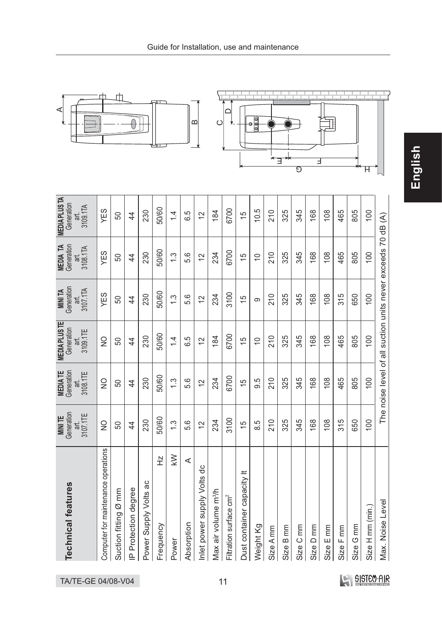![](_page_10_Figure_0.jpeg)

![](_page_10_Figure_1.jpeg)

![](_page_10_Figure_2.jpeg)

TA/TE-GE 04/08-V04

SISTEM-AIR

 $Size I$  $Size I$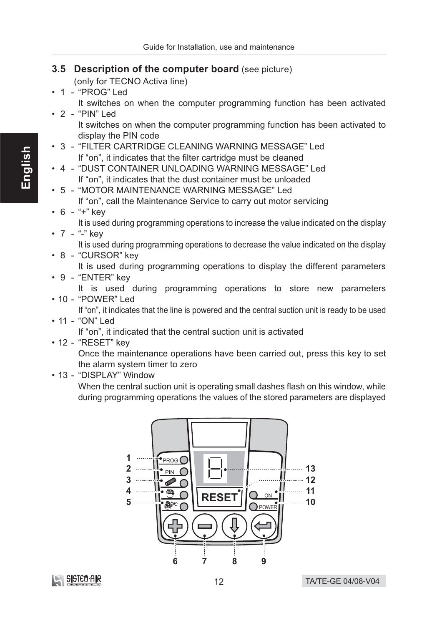## 3.5 Description of the computer board (see picture)

(only for TECNO Activa line)

• 1 - "PROG" Led It switches on when the computer programming function has been activated  $\cdot$  2 - "PIN" Led

It switches on when the computer programming function has been activated to display the PIN code

- 3 "FILTER CARTRIDGE CLEANING WARNING MESSAGE" Led If "on", it indicates that the filter cartridge must be cleaned
- 4 "DUST CONTAINER UNLOADING WARNING MESSAGE" Led If "on", it indicates that the dust container must be unloaded
- 5 "MOTOR MAINTENANCE WARNING MESSAGE" Led If "on", call the Maintenance Service to carry out motor servicing

# $\cdot$  6 - "+" kev

It is used during programming operations to increase the value indicated on the display

•  $7 -$  "-" key

It is used during programming operations to decrease the value indicated on the display

• 8 - "CURSOR" key

It is used during programming operations to display the different parameters

• 9 - "ENTER" key

It is used during programming operations to store new parameters  $\cdot$  10 - "POWER" I ed

If "on", it indicates that the line is powered and the central suction unit is ready to be used • 11 - "ON" Led

If "on", it indicated that the central suction unit is activated

 $\cdot$  12 - "RESET" kev

Once the maintenance operations have been carried out, press this key to set the alarm system timer to zero

• 13 - "DISPLAY" Window

When the central suction unit is operating small dashes flash on this window, while during programming operations the values of the stored parameters are displayed

![](_page_11_Figure_22.jpeg)

![](_page_11_Picture_23.jpeg)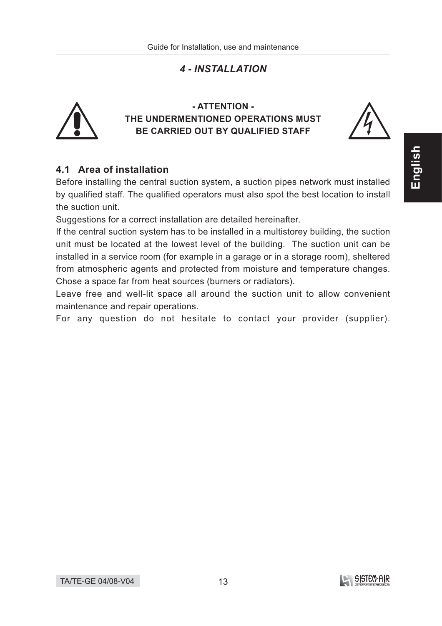# **4 - INSTALLATION**

![](_page_12_Picture_2.jpeg)

## - ATTENTION -THE UNDERMENTIONED OPERATIONS MUST BE CARRIED OUT BY QUALIFIED STAFF

![](_page_12_Picture_4.jpeg)

# 4.1 Area of installation

Before installing the central suction system, a suction pipes network must installed by qualified staff. The qualified operators must also spot the best location to install the suction unit.

Suggestions for a correct installation are detailed hereinafter.

If the central suction system has to be installed in a multistorey building, the suction unit must be located at the lowest level of the building. The suction unit can be installed in a service room (for example in a garage or in a storage room), sheltered from atmospheric agents and protected from moisture and temperature changes. Chose a space far from heat sources (burners or radiators).

Leave free and well-lit space all around the suction unit to allow convenient maintenance and repair operations.

For any question do not hesitate to contact your provider (supplier).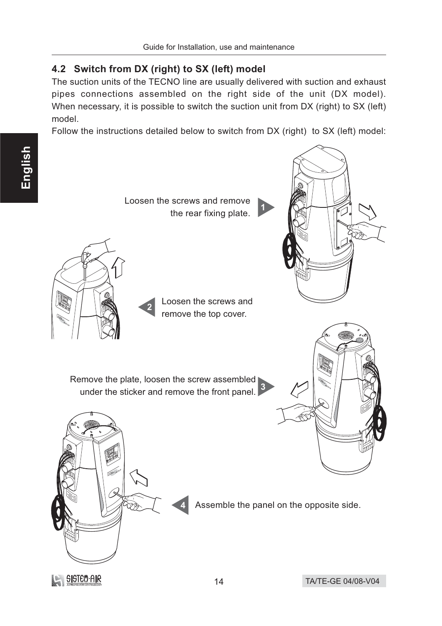# 4.2 Switch from DX (right) to SX (left) model

The suction units of the TECNO line are usually delivered with suction and exhaust pipes connections assembled on the right side of the unit (DX model). When necessary, it is possible to switch the suction unit from DX (right) to SX (left) model.

Follow the instructions detailed below to switch from DX (right) to SX (left) model:

![](_page_13_Picture_5.jpeg)

![](_page_13_Picture_6.jpeg)

![](_page_13_Picture_7.jpeg)

Assemble the panel on the opposite side.

![](_page_13_Picture_9.jpeg)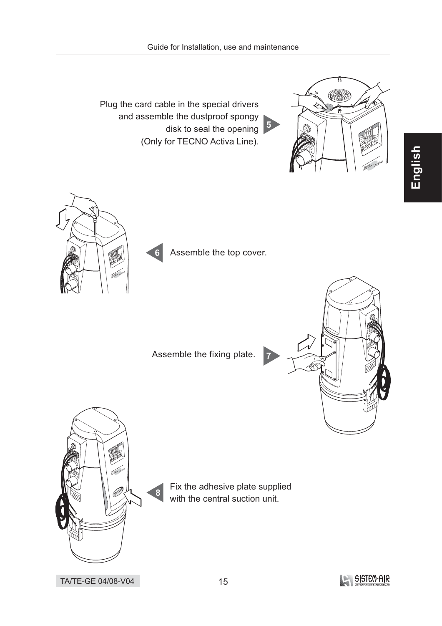Plug the card cable in the special drivers and assemble the dustproof spongy disk to seal the opening 5 (Only for TECNO Activa Line).

![](_page_14_Picture_2.jpeg)

![](_page_14_Picture_3.jpeg)

Assemble the top cover.

Assemble the fixing plate.

![](_page_14_Picture_6.jpeg)

![](_page_14_Picture_7.jpeg)

Fix the adhesive plate supplied with the central suction unit.

![](_page_14_Picture_9.jpeg)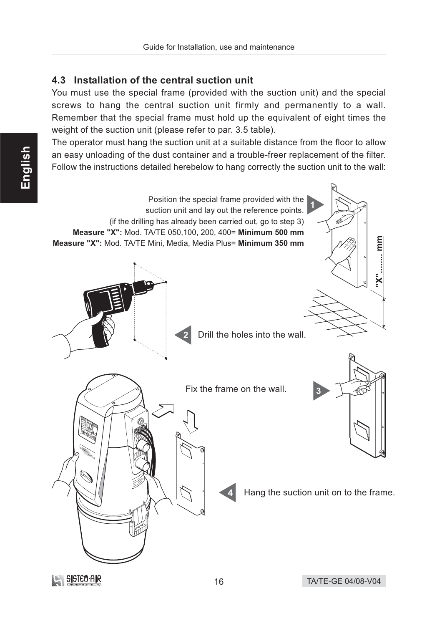# 4.3 Installation of the central suction unit

You must use the special frame (provided with the suction unit) and the special screws to hang the central suction unit firmly and permanently to a wall. Remember that the special frame must hold up the equivalent of eight times the weight of the suction unit (please refer to par. 3.5 table).

The operator must hang the suction unit at a suitable distance from the floor to allow an easy unloading of the dust container and a trouble-freer replacement of the filter. Follow the instructions detailed herebelow to hang correctly the suction unit to the wall:

![](_page_15_Figure_4.jpeg)

**LA SISTEO AIR**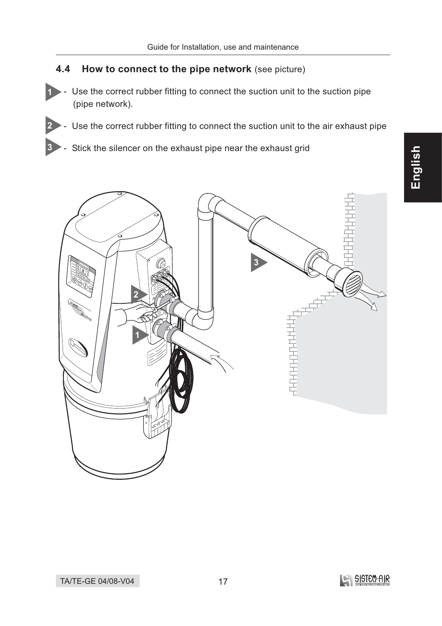#### $4.4$ How to connect to the pipe network (see picture)

 $\vert$ 1

 $\vert 3 \vert$ 

- Use the correct rubber fitting to connect the suction unit to the suction pipe (pipe network).
- Use the correct rubber fitting to connect the suction unit to the air exhaust pipe  $\overline{2}$ 
	- Stick the silencer on the exhaust pipe near the exhaust grid

![](_page_16_Picture_5.jpeg)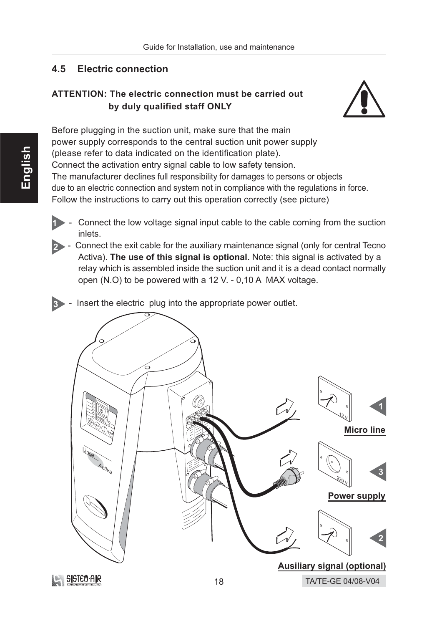#### $4.5$ **Electric connection**

# **ATTENTION: The electric connection must be carried out** by duly qualified staff ONLY

![](_page_17_Picture_3.jpeg)

Before plugging in the suction unit, make sure that the main power supply corresponds to the central suction unit power supply (please refer to data indicated on the identification plate). Connect the activation entry signal cable to low safety tension. The manufacturer declines full responsibility for damages to persons or objects due to an electric connection and system not in compliance with the regulations in force. Follow the instructions to carry out this operation correctly (see picture)

- Connect the low voltage signal input cable to the cable coming from the suction inlets.
- 2 Connect the exit cable for the auxiliary maintenance signal (only for central Tecno Activa). The use of this signal is optional. Note: this signal is activated by a relay which is assembled inside the suction unit and it is a dead contact normally open (N.O) to be powered with a 12 V. - 0,10 A MAX voltage.
- 3 Insert the electric plug into the appropriate power outlet.

![](_page_17_Picture_8.jpeg)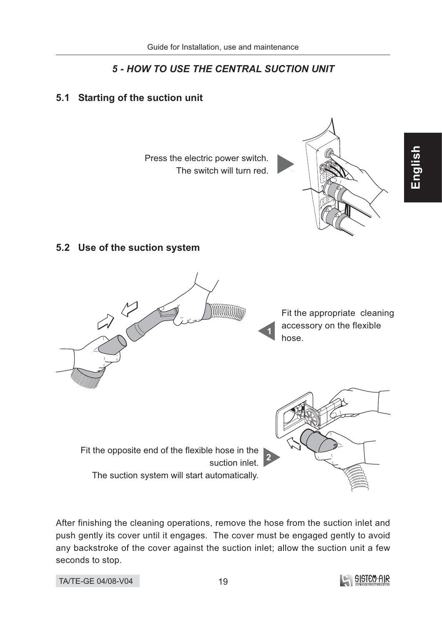# **5 - HOW TO USE THE CENTRAL SUCTION UNIT**

# 5.1 Starting of the suction unit

Press the electric power switch. The switch will turn red.

![](_page_18_Picture_4.jpeg)

# 5.2 Use of the suction system

![](_page_18_Picture_6.jpeg)

Fit the appropriate cleaning accessory on the flexible hose.

Fit the opposite end of the flexible hose in the suction inlet. The suction system will start automatically.

![](_page_18_Figure_9.jpeg)

After finishing the cleaning operations, remove the hose from the suction inlet and push gently its cover until it engages. The cover must be engaged gently to avoid any backstroke of the cover against the suction inlet; allow the suction unit a few seconds to stop.

![](_page_18_Picture_12.jpeg)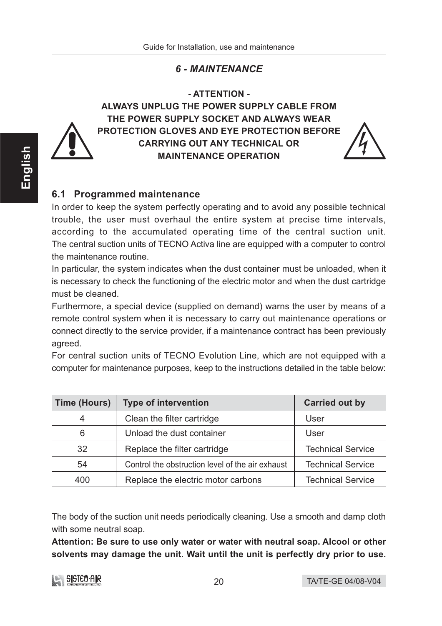# **6 - MAINTENANCE**

- ATTENTION -

![](_page_19_Picture_3.jpeg)

ALWAYS UNPLUG THE POWER SUPPLY CABLE FROM THE POWER SUPPLY SOCKET AND ALWAYS WEAR PROTECTION GLOVES AND EYE PROTECTION BEFORE **CARRYING OUT ANY TECHNICAL OR MAINTENANCE OPERATION** 

![](_page_19_Picture_5.jpeg)

# 6.1 Programmed maintenance

In order to keep the system perfectly operating and to avoid any possible technical trouble, the user must overhaul the entire system at precise time intervals, according to the accumulated operating time of the central suction unit. The central suction units of TECNO Activa line are equipped with a computer to control the maintenance routine.

In particular, the system indicates when the dust container must be unloaded, when it is necessary to check the functioning of the electric motor and when the dust cartridge must be cleaned.

Furthermore, a special device (supplied on demand) warns the user by means of a remote control system when it is necessary to carry out maintenance operations or connect directly to the service provider, if a maintenance contract has been previously agreed.

For central suction units of TECNO Evolution Line, which are not equipped with a computer for maintenance purposes, keep to the instructions detailed in the table below:

| <b>Time (Hours)</b> | <b>Type of intervention</b>                      | <b>Carried out by</b>    |
|---------------------|--------------------------------------------------|--------------------------|
| 4                   | Clean the filter cartridge                       | User                     |
| 6                   | Unload the dust container                        | User                     |
| 32                  | Replace the filter cartridge                     | <b>Technical Service</b> |
| 54                  | Control the obstruction level of the air exhaust | <b>Technical Service</b> |
| 400                 | Replace the electric motor carbons               | <b>Technical Service</b> |

The body of the suction unit needs periodically cleaning. Use a smooth and damp cloth with some neutral soap.

Attention: Be sure to use only water or water with neutral soap. Alcool or other solvents may damage the unit. Wait until the unit is perfectly dry prior to use.

![](_page_19_Picture_14.jpeg)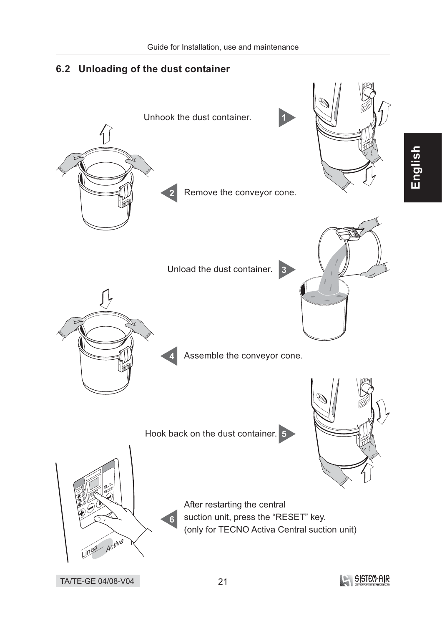6.2 Unloading of the dust container

# Unhook the dust container.  $\overline{H}$ Remove the conveyor cone. Unload the dust container. 3 Assemble the conveyor cone. Hook back on the dust container. 5 After restarting the central suction unit, press the "RESET" key.  $6\overline{6}$ (only for TECNO Activa Central suction unit)  $-$  Activa Linga **BISTEO-AIR** TA/TE-GE 04/08-V04

21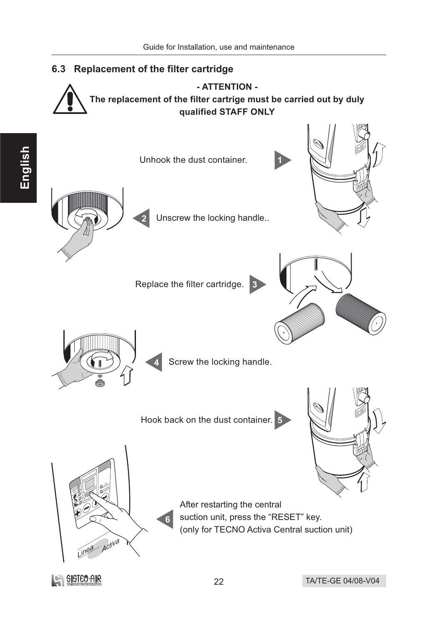![](_page_21_Figure_1.jpeg)

![](_page_21_Picture_3.jpeg)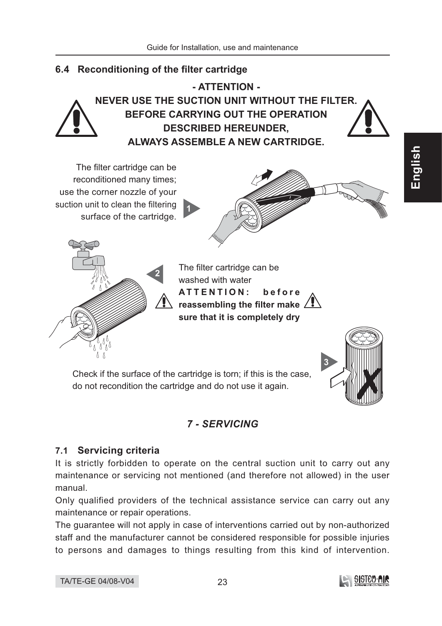# 6.4 Reconditioning of the filter cartridge

![](_page_22_Picture_2.jpeg)

- ATTENTION -NEVER USE THE SUCTION UNIT WITHOUT THE FILTER. BEFORE CARRYING OUT THE OPERATION **DESCRIBED HEREUNDER. ALWAYS ASSEMBLE A NEW CARTRIDGE.** 

The filter cartridge can be reconditioned many times; use the corner nozzle of your suction unit to clean the filtering surface of the cartridge.

![](_page_22_Picture_5.jpeg)

![](_page_22_Picture_7.jpeg)

The filter cartridge can be washed with water ATTENTION: before reassembling the filter make  $\angle$ sure that it is completely drv

Check if the surface of the cartridge is torn; if this is the case, do not recondition the cartridge and do not use it again.

# **7 - SERVICING**

# 7.1 Servicing criteria

It is strictly forbidden to operate on the central suction unit to carry out any maintenance or servicing not mentioned (and therefore not allowed) in the user manual.

Only qualified providers of the technical assistance service can carry out any maintenance or repair operations.

The guarantee will not apply in case of interventions carried out by non-authorized staff and the manufacturer cannot be considered responsible for possible injuries to persons and damages to things resulting from this kind of intervention.

![](_page_22_Picture_16.jpeg)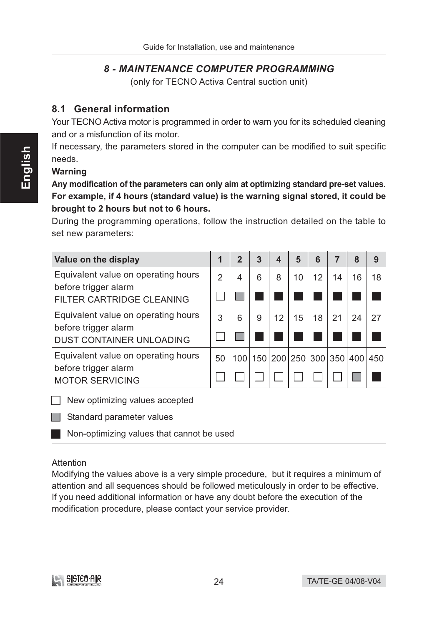# **8 - MAINTENANCE COMPUTER PROGRAMMING**

(only for TECNO Activa Central suction unit)

## 8.1 General information

Your TECNO Activa motor is programmed in order to warn you for its scheduled cleaning and or a misfunction of its motor.

If necessary, the parameters stored in the computer can be modified to suit specific needs.

#### **Warning**

Any modification of the parameters can only aim at optimizing standard pre-set values. For example, if 4 hours (standard value) is the warning signal stored, it could be brought to 2 hours but not to 6 hours.

During the programming operations, follow the instruction detailed on the table to set new parameters:

| Value on the display                                    | 1  | $\overline{2}$ | 3 | $\boldsymbol{4}$ | 5  | 6  | 7  | 8                           | 9  |
|---------------------------------------------------------|----|----------------|---|------------------|----|----|----|-----------------------------|----|
| Equivalent value on operating hours                     | 2  | 4              | 6 | 8                | 10 | 12 | 14 | 16                          | 18 |
| before trigger alarm<br>FILTER CARTRIDGE CLEANING       |    |                |   |                  |    |    |    |                             |    |
| Equivalent value on operating hours                     | 3  | 6              | 9 | 12               | 15 | 18 | 21 | 24                          | 27 |
| before trigger alarm<br><b>DUST CONTAINER UNLOADING</b> |    |                |   |                  |    |    |    |                             |    |
| Equivalent value on operating hours                     | 50 | 100            |   |                  |    |    |    | 150 200 250 300 350 400 450 |    |
| before trigger alarm<br><b>MOTOR SERVICING</b>          |    |                |   |                  |    |    |    |                             |    |

 $\Box$  New optimizing values accepted

 $\Box$  Standard parameter values

Non-optimizing values that cannot be used

#### Attention

Modifying the values above is a very simple procedure, but it requires a minimum of attention and all sequences should be followed meticulously in order to be effective. If you need additional information or have any doubt before the execution of the modification procedure, please contact your service provider.

![](_page_23_Picture_15.jpeg)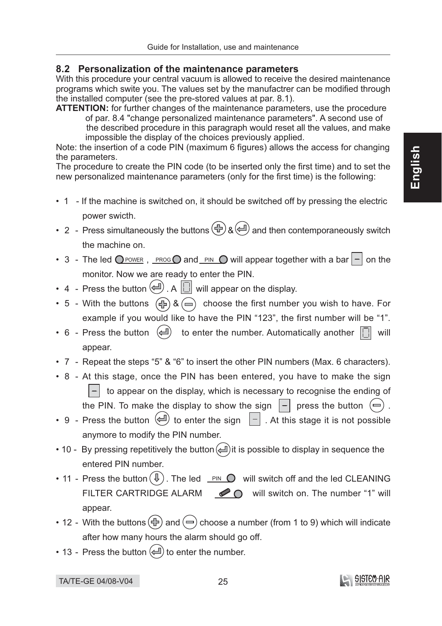#### 8.2 Personalization of the maintenance parameters

With this procedure your central vacuum is allowed to receive the desired maintenance programs which swite you. The values set by the manufactrer can be modified through the installed computer (see the pre-stored values at par. 8.1).

**ATTENTION:** for further changes of the maintenance parameters, use the procedure of par. 8.4 "change personalized maintenance parameters". A second use of the described procedure in this paragraph would reset all the values, and make impossible the display of the choices previously applied.

Note: the insertion of a code PIN (maximum 6 figures) allows the access for changing the parameters.

The procedure to create the PIN code (to be inserted only the first time) and to set the new personalized maintenance parameters (only for the first time) is the following:

- 1 If the machine is switched on, it should be switched off by pressing the electric power swicth.
- 2 Press simultaneously the buttons  $\bigoplus_{k} \bigoplus_{n=1}^{\infty}$  and then contemporaneously switch the machine on.
- 3 The led O POWER, PROGO and PIN O will appear together with a bar  $\boxed{-}$  on the monitor. Now we are ready to enter the PIN.
- 4 Press the button  $\left(\bigcup_{i=1}^{n} A_i\right)$  will appear on the display.
- 5 With the buttons  $\overline{(\bigoplus)}$  &  $\overline{(\bigoplus)}$  choose the first number you wish to have. For example if you would like to have the PIN "123", the first number will be "1".
- 6 Press the button  $\left(\rightleftharpoons\right)$  to enter the number. Automatically another  $\left[\right]$  will appear.
- 7 Repeat the steps "5" & "6" to insert the other PIN numbers (Max. 6 characters).
- 8 At this stage, once the PIN has been entered, you have to make the sign  $\vert - \vert$  to appear on the display, which is necessary to recognise the ending of the PIN. To make the display to show the sign  $|-|$  press the button  $(=)$ .
- 9 Press the button  $\left(\rightleftarrows\right)$  to enter the sign  $\left\lceil -\right\rceil$ . At this stage it is not possible anymore to modify the PIN number.
- 10 By pressing repetitively the button  $(\equiv)$  it is possible to display in sequence the entered PIN number.
- 11 Press the button  $(\sqrt{l})$ . The led  $\sqrt{p}$  PIN  $\overline{O}$  will switch off and the led CLEANING **FILTER CARTRIDGE ALARM** ◯ will switch on. The number "1" will appear.
- 12 With the buttons  $(\oplus)$  and  $(\oplus)$  choose a number (from 1 to 9) which will indicate after how many hours the alarm should go off.
- 13 Press the button  $(\equiv)$  to enter the number.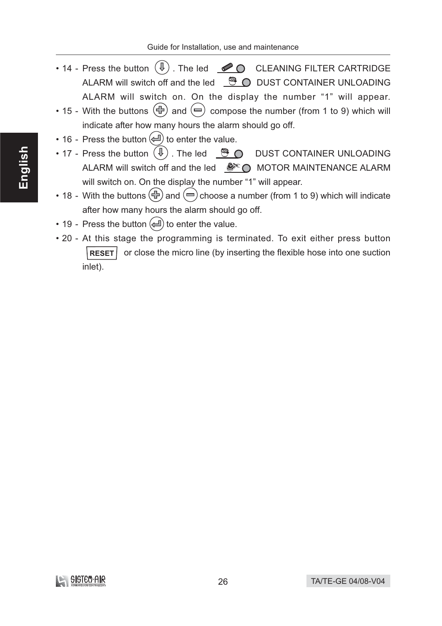- 14 Press the button  $(\mathbb{I})$ . The led  $\bullet$  CLEANING FILTER CARTRIDGE ALARM will switch off and the led  $\bigcirc$   $\bullet$  DUST CONTAINER UNLOADING ALARM will switch on. On the display the number "1" will appear.
- 15 With the buttons  $\left(\oplus\right)$  and  $\left(\rightleftharpoons\right)$  compose the number (from 1 to 9) which will indicate after how many hours the alarm should go off.
- 16 Press the button  $(\triangleq)$  to enter the value.
- 17 Press the button  $(\mathbb{I})$ . The led  $\mathbb{S}$   $\bigcirc$  DUST CONTAINER UNLOADING ALARM will switch off and the led **Solution** MOTOR MAINTENANCE ALARM will switch on. On the display the number "1" will appear.
- 18 With the buttons  $\left(\oplus\right)$  and  $\left(\ominus\right)$  choose a number (from 1 to 9) which will indicate after how many hours the alarm should go off.
- 19 Press the button  $(\equiv)$  to enter the value.
- 20 At this stage the programming is terminated. To exit either press button RESET | or close the micro line (by inserting the flexible hose into one suction inlet).

![](_page_25_Picture_9.jpeg)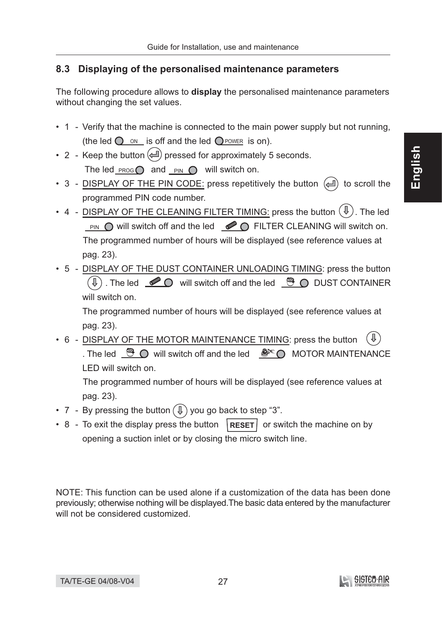# 8.3 Displaying of the personalised maintenance parameters

The following procedure allows to **display** the personalised maintenance parameters without changing the set values.

- 1 Verify that the machine is connected to the main power supply but not running, (the led  $\bigcirc$  on is off and the led  $\bigcirc$  power is on).
- 2 Keep the button  $($   $\Box$ ) pressed for approximately 5 seconds. The led\_ $\frac{PROG}{P}$  and  $\frac{PIN}{P}$  will switch on.
- 3 DISPLAY OF THE PIN CODE: press repetitively the button  $(4)$  to scroll the programmed PIN code number.
- 4 DISPLAY OF THE CLEANING FILTER TIMING: press the button  $(\mathbb{I})$ . The led **PIN**  $\bigcirc$  will switch off and the led  $\bigcirc$   $\bigcirc$  FILTER CLEANING will switch on. The programmed number of hours will be displayed (see reference values at pag. 23).
- 5 DISPLAY OF THE DUST CONTAINER UNLOADING TIMING: press the button  $\circledR$  . The led  $\circledR$  will switch off and the led  $\circledR$  O DUST CONTAINER will switch on.

The programmed number of hours will be displayed (see reference values at pag. 23).

• 6 - DISPLAY OF THE MOTOR MAINTENANCE TIMING: press the button . The led  $\bigcirc$   $\bigcirc$  will switch off and the led  $\bigcirc$   $\bigcirc$  MOTOR MAINTENANCE LED will switch on.

The programmed number of hours will be displayed (see reference values at pag. 23).

- 7 By pressing the button  $(\mathbb{I})$  you go back to step "3".
- 8 To exit the display press the button  $\left|{\text{Reser}}\right|$  or switch the machine on by opening a suction inlet or by closing the micro switch line.

NOTE: This function can be used alone if a customization of the data has been done previously; otherwise nothing will be displayed. The basic data entered by the manufacturer will not be considered customized.

![](_page_26_Picture_15.jpeg)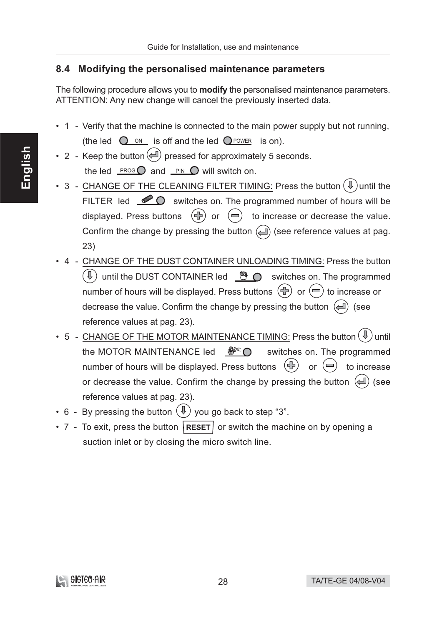# 8.4 Modifying the personalised maintenance parameters

The following procedure allows you to **modify** the personalised maintenance parameters. ATTENTION: Any new change will cancel the previously inserted data.

- 1 Verify that the machine is connected to the main power supply but not running, (the led  $\bigcirc$  on is off and the led  $\bigcirc$  power is on).
- 2 Keep the button  $\left(\rightleftharpoons\right)$  pressed for approximately 5 seconds. the led  $PROG$  and  $PIN$   $\bigcirc$  will switch on.
- 3 CHANGE OF THE CLEANING FILTER TIMING: Press the button  $(\sqrt{\psi})$  until the FILTER led  $\bullet$   $\bullet$  switches on. The programmed number of hours will be displayed. Press buttons  $(\oplus)$  or  $(\equiv)$  to increase or decrease the value. Confirm the change by pressing the button  $(\Box)$  (see reference values at pag.  $23)$
- 4 CHANGE OF THE DUST CONTAINER UNLOADING TIMING: Press the button  $(\text{I})$  until the DUST CONTAINER led  $\bullet$   $\bullet$  switches on. The programmed number of hours will be displayed. Press buttons  $(\bigoplus)$  or  $(\bigoplus)$  to increase or decrease the value. Confirm the change by pressing the button  $(\triangleq)$  (see reference values at pag. 23).
- 5 CHANGE OF THE MOTOR MAINTENANCE TIMING: Press the button  $(\sqrt[1]{\psi})$  until the MOTOR MAINTENANCE led  $\mathcal{L}^{\infty}$   $\bigcirc$ switches on. The programmed number of hours will be displayed. Press buttons  $(\oplus)$ or  $(\equiv)$  to increase or decrease the value. Confirm the change by pressing the button  $(4)$  (see reference values at pag. 23).
- 6 By pressing the button  $(\mathbb{I})$  you go back to step "3".
- 7 To exit, press the button  $|{\sf{ResET}}|$  or switch the machine on by opening a suction inlet or by closing the micro switch line.

![](_page_27_Picture_10.jpeg)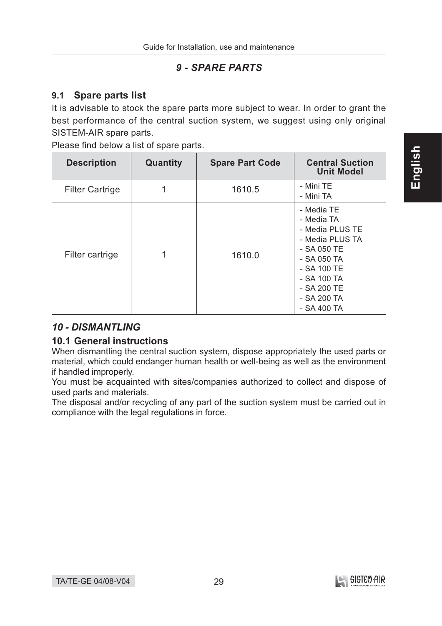# **9 - SPARE PARTS**

#### $9.1$ **Spare parts list**

It is advisable to stock the spare parts more subject to wear. In order to grant the best performance of the central suction system, we suggest using only original SISTEM-AIR spare parts.

Please find below a list of spare parts.

| <b>Description</b>     | Quantity | <b>Spare Part Code</b> | <b>Central Suction</b><br><b>Unit Model</b>                                                                                                                               |
|------------------------|----------|------------------------|---------------------------------------------------------------------------------------------------------------------------------------------------------------------------|
| <b>Filter Cartrige</b> |          | 1610.5                 | - Mini TE<br>- Mini TA                                                                                                                                                    |
| Filter cartrige        | 1        | 1610.0                 | - Media TE<br>- Media TA<br>- Media PLUS TE<br>- Media PLUS TA<br>- SA 050 TE<br>- SA 050 TA<br>$-$ SA 100 TE<br>- SA 100 TA<br>- SA 200 TE<br>- SA 200 TA<br>- SA 400 TA |

# **10 - DISMANTLING**

# **10.1 General instructions**

When dismantling the central suction system, dispose appropriately the used parts or material, which could endanger human health or well-being as well as the environment if handled improperly.

You must be acquainted with sites/companies authorized to collect and dispose of used parts and materials.

The disposal and/or recycling of any part of the suction system must be carried out in compliance with the legal regulations in force.